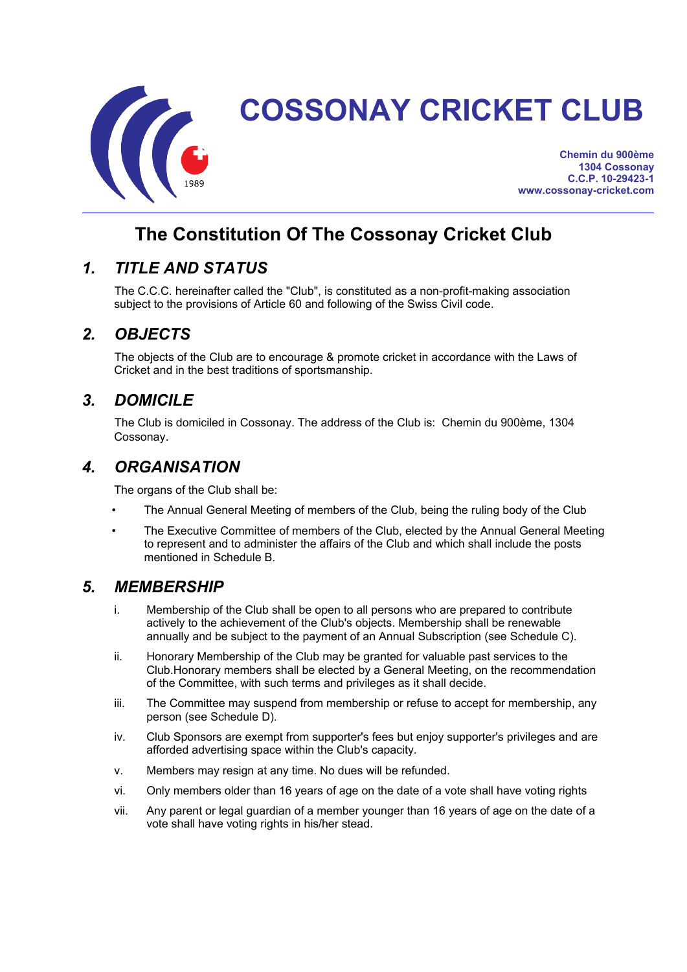

# **COSSONAY CRICKET CLUB**

**Chemin du 900ème 1304 Cossonay C.C.P. 10-29423-1 www.cossonay-cricket.com**

## **The Constitution Of The Cossonay Cricket Club**

#### *1. TITLE AND STATUS*

The C.C.C. hereinafter called the "Club", is constituted as a non-profit-making association subject to the provisions of Article 60 and following of the Swiss Civil code.

#### *2. OBJECTS*

The objects of the Club are to encourage & promote cricket in accordance with the Laws of Cricket and in the best traditions of sportsmanship.

#### *3. DOMICILE*

The Club is domiciled in Cossonay. The address of the Club is: Chemin du 900ème, 1304 Cossonay.

#### *4. ORGANISATION*

The organs of the Club shall be:

- The Annual General Meeting of members of the Club, being the ruling body of the Club
- The Executive Committee of members of the Club, elected by the Annual General Meeting to represent and to administer the affairs of the Club and which shall include the posts mentioned in Schedule B.

#### *5. MEMBERSHIP*

- i. Membership of the Club shall be open to all persons who are prepared to contribute actively to the achievement of the Club's objects. Membership shall be renewable annually and be subject to the payment of an Annual Subscription (see Schedule C).
- ii. Honorary Membership of the Club may be granted for valuable past services to the Club.Honorary members shall be elected by a General Meeting, on the recommendation of the Committee, with such terms and privileges as it shall decide.
- iii. The Committee may suspend from membership or refuse to accept for membership, any person (see Schedule D).
- iv. Club Sponsors are exempt from supporter's fees but enjoy supporter's privileges and are afforded advertising space within the Club's capacity.
- v. Members may resign at any time. No dues will be refunded.
- vi. Only members older than 16 years of age on the date of a vote shall have voting rights
- vii. Any parent or legal guardian of a member younger than 16 years of age on the date of a vote shall have voting rights in his/her stead.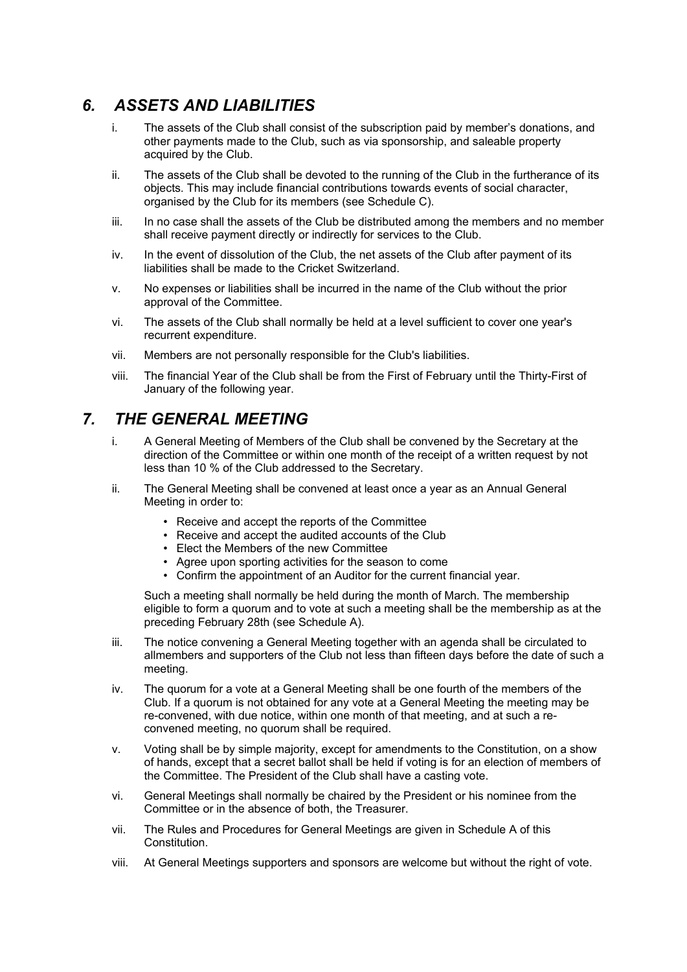#### *6. ASSETS AND LIABILITIES*

- i. The assets of the Club shall consist of the subscription paid by member's donations, and other payments made to the Club, such as via sponsorship, and saleable property acquired by the Club.
- ii. The assets of the Club shall be devoted to the running of the Club in the furtherance of its objects. This may include financial contributions towards events of social character, organised by the Club for its members (see Schedule C).
- iii. In no case shall the assets of the Club be distributed among the members and no member shall receive payment directly or indirectly for services to the Club.
- iv. In the event of dissolution of the Club, the net assets of the Club after payment of its liabilities shall be made to the Cricket Switzerland.
- v. No expenses or liabilities shall be incurred in the name of the Club without the prior approval of the Committee.
- vi. The assets of the Club shall normally be held at a level sufficient to cover one year's recurrent expenditure.
- vii. Members are not personally responsible for the Club's liabilities.
- viii. The financial Year of the Club shall be from the First of February until the Thirty-First of January of the following year.

#### *7. THE GENERAL MEETING*

- i. A General Meeting of Members of the Club shall be convened by the Secretary at the direction of the Committee or within one month of the receipt of a written request by not less than 10 % of the Club addressed to the Secretary.
- ii. The General Meeting shall be convened at least once a year as an Annual General Meeting in order to:
	- Receive and accept the reports of the Committee
	- Receive and accept the audited accounts of the Club
	- Elect the Members of the new Committee
	- Agree upon sporting activities for the season to come
	- Confirm the appointment of an Auditor for the current financial year.

Such a meeting shall normally be held during the month of March. The membership eligible to form a quorum and to vote at such a meeting shall be the membership as at the preceding February 28th (see Schedule A).

- iii. The notice convening a General Meeting together with an agenda shall be circulated to allmembers and supporters of the Club not less than fifteen days before the date of such a meeting.
- iv. The quorum for a vote at a General Meeting shall be one fourth of the members of the Club. If a quorum is not obtained for any vote at a General Meeting the meeting may be re-convened, with due notice, within one month of that meeting, and at such a reconvened meeting, no quorum shall be required.
- v. Voting shall be by simple majority, except for amendments to the Constitution, on a show of hands, except that a secret ballot shall be held if voting is for an election of members of the Committee. The President of the Club shall have a casting vote.
- vi. General Meetings shall normally be chaired by the President or his nominee from the Committee or in the absence of both, the Treasurer.
- vii. The Rules and Procedures for General Meetings are given in Schedule A of this Constitution.
- viii. At General Meetings supporters and sponsors are welcome but without the right of vote.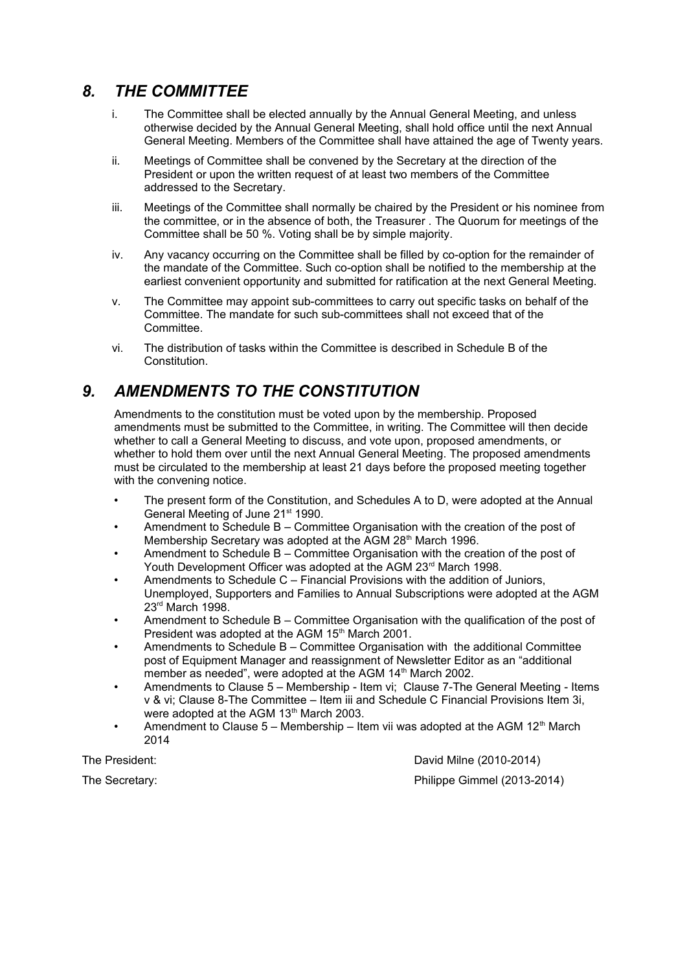#### *8. THE COMMITTEE*

- i. The Committee shall be elected annually by the Annual General Meeting, and unless otherwise decided by the Annual General Meeting, shall hold office until the next Annual General Meeting. Members of the Committee shall have attained the age of Twenty years.
- ii. Meetings of Committee shall be convened by the Secretary at the direction of the President or upon the written request of at least two members of the Committee addressed to the Secretary.
- iii. Meetings of the Committee shall normally be chaired by the President or his nominee from the committee, or in the absence of both, the Treasurer . The Quorum for meetings of the Committee shall be 50 %. Voting shall be by simple majority.
- iv. Any vacancy occurring on the Committee shall be filled by co-option for the remainder of the mandate of the Committee. Such co-option shall be notified to the membership at the earliest convenient opportunity and submitted for ratification at the next General Meeting.
- v. The Committee may appoint sub-committees to carry out specific tasks on behalf of the Committee. The mandate for such sub-committees shall not exceed that of the Committee.
- vi. The distribution of tasks within the Committee is described in Schedule B of the Constitution.

#### *9. AMENDMENTS TO THE CONSTITUTION*

Amendments to the constitution must be voted upon by the membership. Proposed amendments must be submitted to the Committee, in writing. The Committee will then decide whether to call a General Meeting to discuss, and vote upon, proposed amendments, or whether to hold them over until the next Annual General Meeting. The proposed amendments must be circulated to the membership at least 21 days before the proposed meeting together with the convening notice.

- The present form of the Constitution, and Schedules A to D, were adopted at the Annual General Meeting of June 21<sup>st</sup> 1990.
- Amendment to Schedule B Committee Organisation with the creation of the post of Membership Secretary was adopted at the AGM 28<sup>th</sup> March 1996.
- Amendment to Schedule B Committee Organisation with the creation of the post of Youth Development Officer was adopted at the AGM 23<sup>rd</sup> March 1998.
- Amendments to Schedule C Financial Provisions with the addition of Juniors, Unemployed, Supporters and Families to Annual Subscriptions were adopted at the AGM 23rd March 1998.
- Amendment to Schedule B Committee Organisation with the qualification of the post of President was adopted at the AGM 15<sup>th</sup> March 2001.
- Amendments to Schedule B Committee Organisation with the additional Committee post of Equipment Manager and reassignment of Newsletter Editor as an "additional member as needed", were adopted at the AGM 14<sup>th</sup> March 2002.
- Amendments to Clause 5 Membership Item vi; Clause 7-The General Meeting Items v & vi; Clause 8-The Committee – Item iii and Schedule C Financial Provisions Item 3i, were adopted at the AGM 13<sup>th</sup> March 2003.
- Amendment to Clause  $5 -$  Membership Item vii was adopted at the AGM 12<sup>th</sup> March 2014

The President: David Milne (2010-2014)

The Secretary: Philippe Gimmel (2013-2014)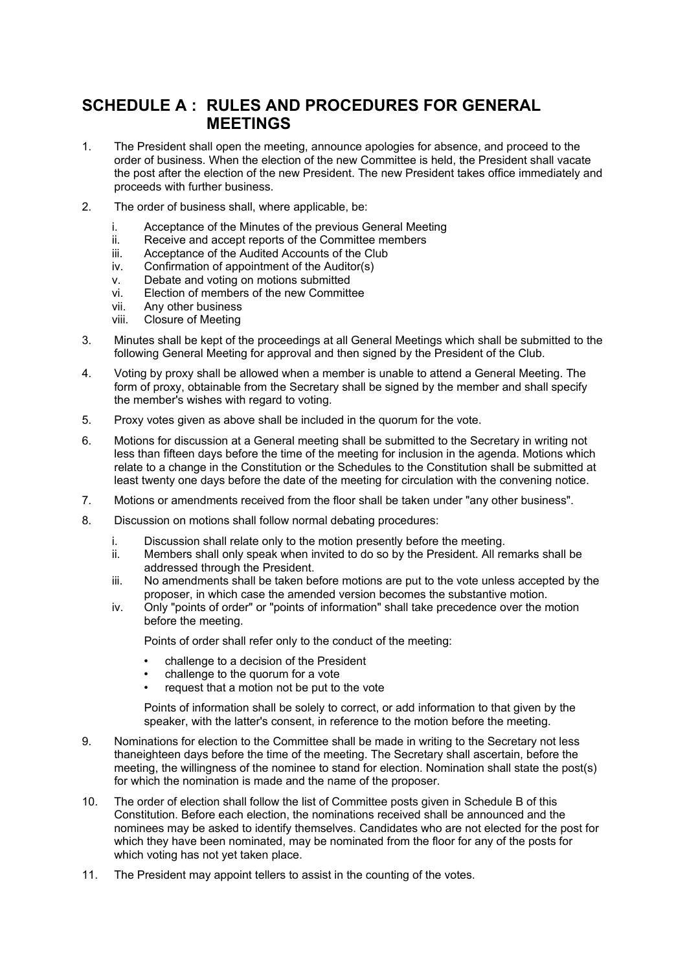#### **SCHEDULE A : RULES AND PROCEDURES FOR GENERAL MEETINGS**

- 1. The President shall open the meeting, announce apologies for absence, and proceed to the order of business. When the election of the new Committee is held, the President shall vacate the post after the election of the new President. The new President takes office immediately and proceeds with further business.
- 2. The order of business shall, where applicable, be:
	- i. Acceptance of the Minutes of the previous General Meeting
	- ii. Receive and accept reports of the Committee members
	- iii. Acceptance of the Audited Accounts of the Club
	- iv. Confirmation of appointment of the Auditor(s)
	- v. Debate and voting on motions submitted
	- vi. Election of members of the new Committee
	- vii. Any other business
	- viii. Closure of Meeting
- 3. Minutes shall be kept of the proceedings at all General Meetings which shall be submitted to the following General Meeting for approval and then signed by the President of the Club.
- 4. Voting by proxy shall be allowed when a member is unable to attend a General Meeting. The form of proxy, obtainable from the Secretary shall be signed by the member and shall specify the member's wishes with regard to voting.
- 5. Proxy votes given as above shall be included in the quorum for the vote.
- 6. Motions for discussion at a General meeting shall be submitted to the Secretary in writing not less than fifteen days before the time of the meeting for inclusion in the agenda. Motions which relate to a change in the Constitution or the Schedules to the Constitution shall be submitted at least twenty one days before the date of the meeting for circulation with the convening notice.
- 7. Motions or amendments received from the floor shall be taken under "any other business".
- 8. Discussion on motions shall follow normal debating procedures:
	- i. Discussion shall relate only to the motion presently before the meeting.
	- ii. Members shall only speak when invited to do so by the President. All remarks shall be addressed through the President.
	- iii. No amendments shall be taken before motions are put to the vote unless accepted by the proposer, in which case the amended version becomes the substantive motion.
	- iv. Only "points of order" or "points of information" shall take precedence over the motion before the meeting.

Points of order shall refer only to the conduct of the meeting:

- challenge to a decision of the President
- challenge to the quorum for a vote
- request that a motion not be put to the vote

Points of information shall be solely to correct, or add information to that given by the speaker, with the latter's consent, in reference to the motion before the meeting.

- 9. Nominations for election to the Committee shall be made in writing to the Secretary not less thaneighteen days before the time of the meeting. The Secretary shall ascertain, before the meeting, the willingness of the nominee to stand for election. Nomination shall state the post(s) for which the nomination is made and the name of the proposer.
- 10. The order of election shall follow the list of Committee posts given in Schedule B of this Constitution. Before each election, the nominations received shall be announced and the nominees may be asked to identify themselves. Candidates who are not elected for the post for which they have been nominated, may be nominated from the floor for any of the posts for which voting has not yet taken place.
- 11. The President may appoint tellers to assist in the counting of the votes.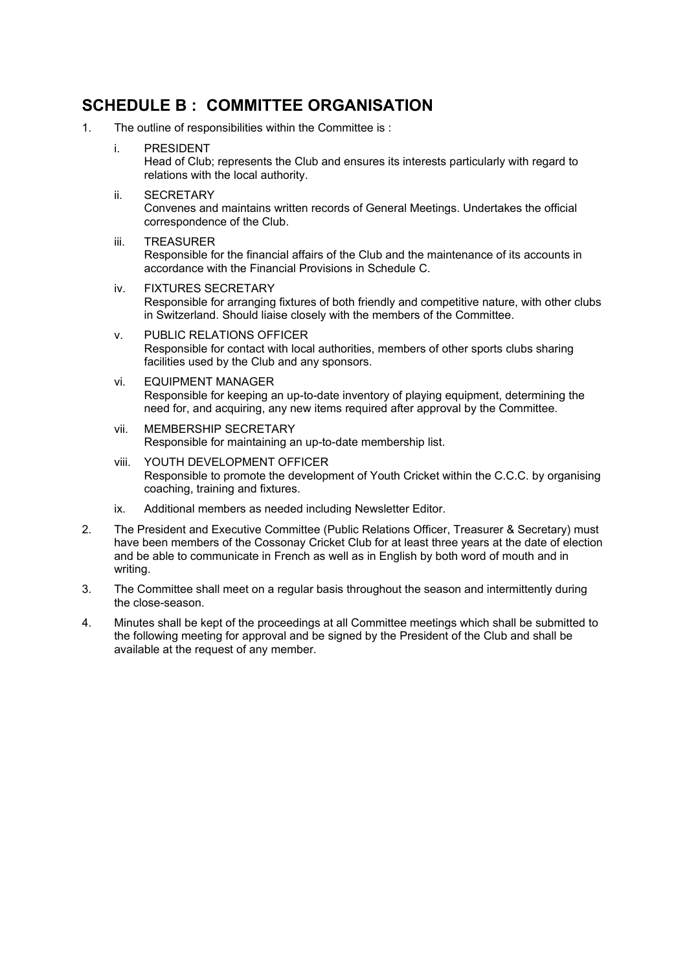#### **SCHEDULE B : COMMITTEE ORGANISATION**

1. The outline of responsibilities within the Committee is :

i. PRESIDENT Head of Club; represents the Club and ensures its interests particularly with regard to relations with the local authority.

- ii. SECRETARY Convenes and maintains written records of General Meetings. Undertakes the official correspondence of the Club.
- iii. TREASURER Responsible for the financial affairs of the Club and the maintenance of its accounts in accordance with the Financial Provisions in Schedule C.
- iv. FIXTURES SECRETARY Responsible for arranging fixtures of both friendly and competitive nature, with other clubs in Switzerland. Should liaise closely with the members of the Committee.
- v. PUBLIC RELATIONS OFFICER Responsible for contact with local authorities, members of other sports clubs sharing facilities used by the Club and any sponsors.
- vi. EQUIPMENT MANAGER Responsible for keeping an up-to-date inventory of playing equipment, determining the need for, and acquiring, any new items required after approval by the Committee.
- vii. MEMBERSHIP SECRETARY Responsible for maintaining an up-to-date membership list.
- viii. YOUTH DEVELOPMENT OFFICER Responsible to promote the development of Youth Cricket within the C.C.C. by organising coaching, training and fixtures.
- ix. Additional members as needed including Newsletter Editor.
- 2. The President and Executive Committee (Public Relations Officer, Treasurer & Secretary) must have been members of the Cossonay Cricket Club for at least three years at the date of election and be able to communicate in French as well as in English by both word of mouth and in writing.
- 3. The Committee shall meet on a regular basis throughout the season and intermittently during the close-season.
- 4. Minutes shall be kept of the proceedings at all Committee meetings which shall be submitted to the following meeting for approval and be signed by the President of the Club and shall be available at the request of any member.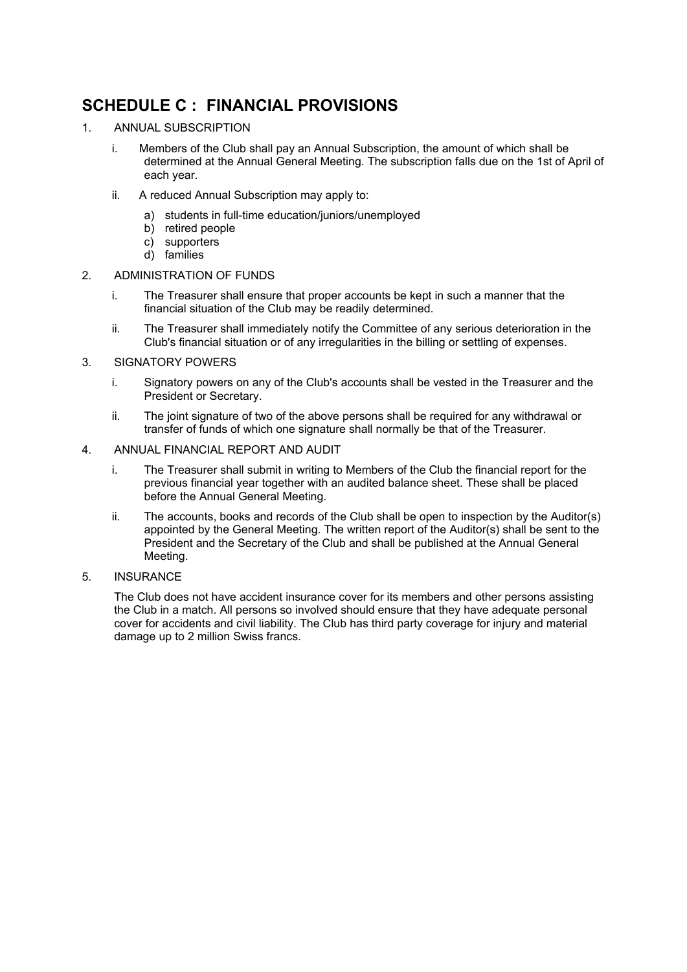### **SCHEDULE C : FINANCIAL PROVISIONS**

- 1. ANNUAL SUBSCRIPTION
	- i. Members of the Club shall pay an Annual Subscription, the amount of which shall be determined at the Annual General Meeting. The subscription falls due on the 1st of April of each year.
	- ii. A reduced Annual Subscription may apply to:
		- a) students in full-time education/juniors/unemployed
		- b) retired people
		- c) supporters
		- d) families
- 2. ADMINISTRATION OF FUNDS
	- i. The Treasurer shall ensure that proper accounts be kept in such a manner that the financial situation of the Club may be readily determined.
	- ii. The Treasurer shall immediately notify the Committee of any serious deterioration in the Club's financial situation or of any irregularities in the billing or settling of expenses.
- 3. SIGNATORY POWERS
	- i. Signatory powers on any of the Club's accounts shall be vested in the Treasurer and the President or Secretary.
	- ii. The joint signature of two of the above persons shall be required for any withdrawal or transfer of funds of which one signature shall normally be that of the Treasurer.
- 4. ANNUAL FINANCIAL REPORT AND AUDIT
	- i. The Treasurer shall submit in writing to Members of the Club the financial report for the previous financial year together with an audited balance sheet. These shall be placed before the Annual General Meeting.
	- ii. The accounts, books and records of the Club shall be open to inspection by the Auditor(s) appointed by the General Meeting. The written report of the Auditor(s) shall be sent to the President and the Secretary of the Club and shall be published at the Annual General Meeting.
- 5. INSURANCE

The Club does not have accident insurance cover for its members and other persons assisting the Club in a match. All persons so involved should ensure that they have adequate personal cover for accidents and civil liability. The Club has third party coverage for injury and material damage up to 2 million Swiss francs.